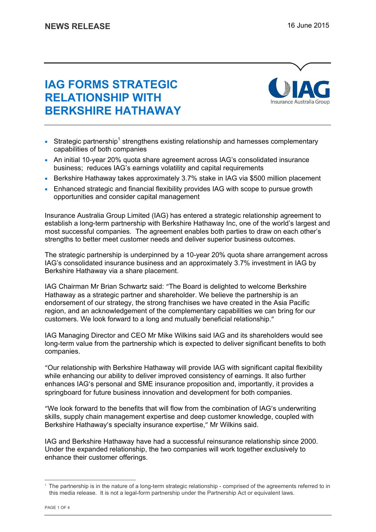# **IAG FORMS STRATEGIC RELATIONSHIP WITH BERKSHIRE HATHAWAY**



- Strategic partnership<sup>1</sup> strengthens existing relationship and harnesses complementary capabilities of both companies
- An initial 10-year 20% quota share agreement across IAG's consolidated insurance business; reduces IAG's earnings volatility and capital requirements
- Berkshire Hathaway takes approximately 3.7% stake in IAG via \$500 million placement
- Enhanced strategic and financial flexibility provides IAG with scope to pursue growth opportunities and consider capital management

Insurance Australia Group Limited (IAG) has entered a strategic relationship agreement to establish a long-term partnership with Berkshire Hathaway Inc, one of the world's largest and most successful companies. The agreement enables both parties to draw on each other's strengths to better meet customer needs and deliver superior business outcomes.

The strategic partnership is underpinned by a 10-year 20% quota share arrangement across IAG's consolidated insurance business and an approximately 3.7% investment in IAG by Berkshire Hathaway via a share placement.

IAG Chairman Mr Brian Schwartz said: "The Board is delighted to welcome Berkshire Hathaway as a strategic partner and shareholder. We believe the partnership is an endorsement of our strategy, the strong franchises we have created in the Asia Pacific region, and an acknowledgement of the complementary capabilities we can bring for our customers. We look forward to a long and mutually beneficial relationship."

IAG Managing Director and CEO Mr Mike Wilkins said IAG and its shareholders would see long-term value from the partnership which is expected to deliver significant benefits to both companies.

"Our relationship with Berkshire Hathaway will provide IAG with significant capital flexibility while enhancing our ability to deliver improved consistency of earnings. It also further enhances IAG's personal and SME insurance proposition and, importantly, it provides a springboard for future business innovation and development for both companies.

"We look forward to the benefits that will flow from the combination of IAG's underwriting skills, supply chain management expertise and deep customer knowledge, coupled with Berkshire Hathaway's specialty insurance expertise," Mr Wilkins said.

IAG and Berkshire Hathaway have had a successful reinsurance relationship since 2000. Under the expanded relationship, the two companies will work together exclusively to enhance their customer offerings.

-

<sup>1</sup> The partnership is in the nature of a long-term strategic relationship - comprised of the agreements referred to in this media release. It is not a legal-form partnership under the Partnership Act or equivalent laws.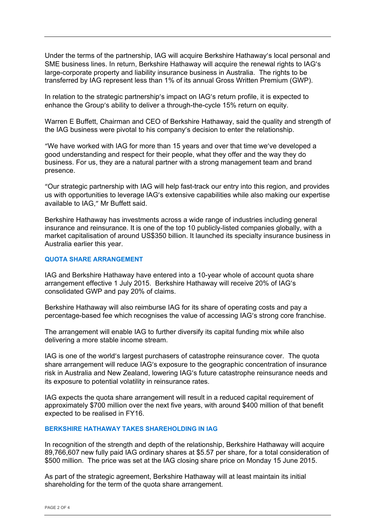Under the terms of the partnership, IAG will acquire Berkshire Hathaway's local personal and SME business lines. In return, Berkshire Hathaway will acquire the renewal rights to IAG's large-corporate property and liability insurance business in Australia. The rights to be transferred by IAG represent less than 1% of its annual Gross Written Premium (GWP).

In relation to the strategic partnership's impact on IAG's return profile, it is expected to enhance the Group's ability to deliver a through-the-cycle 15% return on equity.

Warren E Buffett, Chairman and CEO of Berkshire Hathaway, said the quality and strength of the IAG business were pivotal to his company's decision to enter the relationship.

"We have worked with IAG for more than 15 years and over that time we've developed a good understanding and respect for their people, what they offer and the way they do business. For us, they are a natural partner with a strong management team and brand presence.

"Our strategic partnership with IAG will help fast-track our entry into this region, and provides us with opportunities to leverage IAG's extensive capabilities while also making our expertise available to IAG," Mr Buffett said.

Berkshire Hathaway has investments across a wide range of industries including general insurance and reinsurance. It is one of the top 10 publicly-listed companies globally, with a market capitalisation of around US\$350 billion. It launched its specialty insurance business in Australia earlier this year.

# **QUOTA SHARE ARRANGEMENT**

IAG and Berkshire Hathaway have entered into a 10-year whole of account quota share arrangement effective 1 July 2015. Berkshire Hathaway will receive 20% of IAG's consolidated GWP and pay 20% of claims.

Berkshire Hathaway will also reimburse IAG for its share of operating costs and pay a percentage-based fee which recognises the value of accessing IAG's strong core franchise.

The arrangement will enable IAG to further diversify its capital funding mix while also delivering a more stable income stream.

IAG is one of the world's largest purchasers of catastrophe reinsurance cover. The quota share arrangement will reduce IAG's exposure to the geographic concentration of insurance risk in Australia and New Zealand, lowering IAG's future catastrophe reinsurance needs and its exposure to potential volatility in reinsurance rates.

IAG expects the quota share arrangement will result in a reduced capital requirement of approximately \$700 million over the next five years, with around \$400 million of that benefit expected to be realised in FY16.

#### **BERKSHIRE HATHAWAY TAKES SHAREHOLDING IN IAG**

In recognition of the strength and depth of the relationship, Berkshire Hathaway will acquire 89,766,607 new fully paid IAG ordinary shares at \$5.57 per share, for a total consideration of \$500 million. The price was set at the IAG closing share price on Monday 15 June 2015.

As part of the strategic agreement, Berkshire Hathaway will at least maintain its initial shareholding for the term of the quota share arrangement.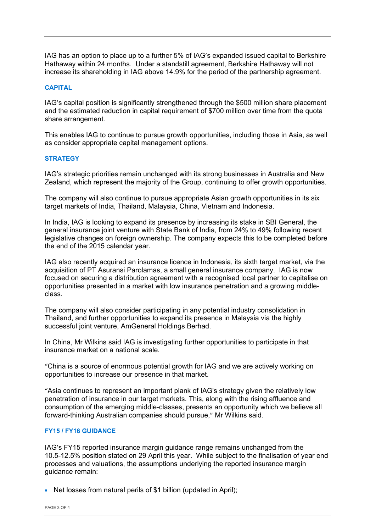IAG has an option to place up to a further 5% of IAG's expanded issued capital to Berkshire Hathaway within 24 months. Under a standstill agreement, Berkshire Hathaway will not increase its shareholding in IAG above 14.9% for the period of the partnership agreement.

# **CAPITAL**

IAG's capital position is significantly strengthened through the \$500 million share placement and the estimated reduction in capital requirement of \$700 million over time from the quota share arrangement.

This enables IAG to continue to pursue growth opportunities, including those in Asia, as well as consider appropriate capital management options.

# **STRATEGY**

IAG's strategic priorities remain unchanged with its strong businesses in Australia and New Zealand, which represent the majority of the Group, continuing to offer growth opportunities.

The company will also continue to pursue appropriate Asian growth opportunities in its six target markets of India, Thailand, Malaysia, China, Vietnam and Indonesia.

In India, IAG is looking to expand its presence by increasing its stake in SBI General, the general insurance joint venture with State Bank of India, from 24% to 49% following recent legislative changes on foreign ownership. The company expects this to be completed before the end of the 2015 calendar year.

IAG also recently acquired an insurance licence in Indonesia, its sixth target market, via the acquisition of PT Asuransi Parolamas, a small general insurance company. IAG is now focused on securing a distribution agreement with a recognised local partner to capitalise on opportunities presented in a market with low insurance penetration and a growing middleclass.

The company will also consider participating in any potential industry consolidation in Thailand, and further opportunities to expand its presence in Malaysia via the highly successful joint venture, AmGeneral Holdings Berhad.

In China, Mr Wilkins said IAG is investigating further opportunities to participate in that insurance market on a national scale.

"China is a source of enormous potential growth for IAG and we are actively working on opportunities to increase our presence in that market.

"Asia continues to represent an important plank of IAG's strategy given the relatively low penetration of insurance in our target markets. This, along with the rising affluence and consumption of the emerging middle-classes, presents an opportunity which we believe all forward-thinking Australian companies should pursue," Mr Wilkins said.

#### **FY15 / FY16 GUIDANCE**

IAG's FY15 reported insurance margin guidance range remains unchanged from the 10.5-12.5% position stated on 29 April this year. While subject to the finalisation of year end processes and valuations, the assumptions underlying the reported insurance margin guidance remain:

Net losses from natural perils of \$1 billion (updated in April);